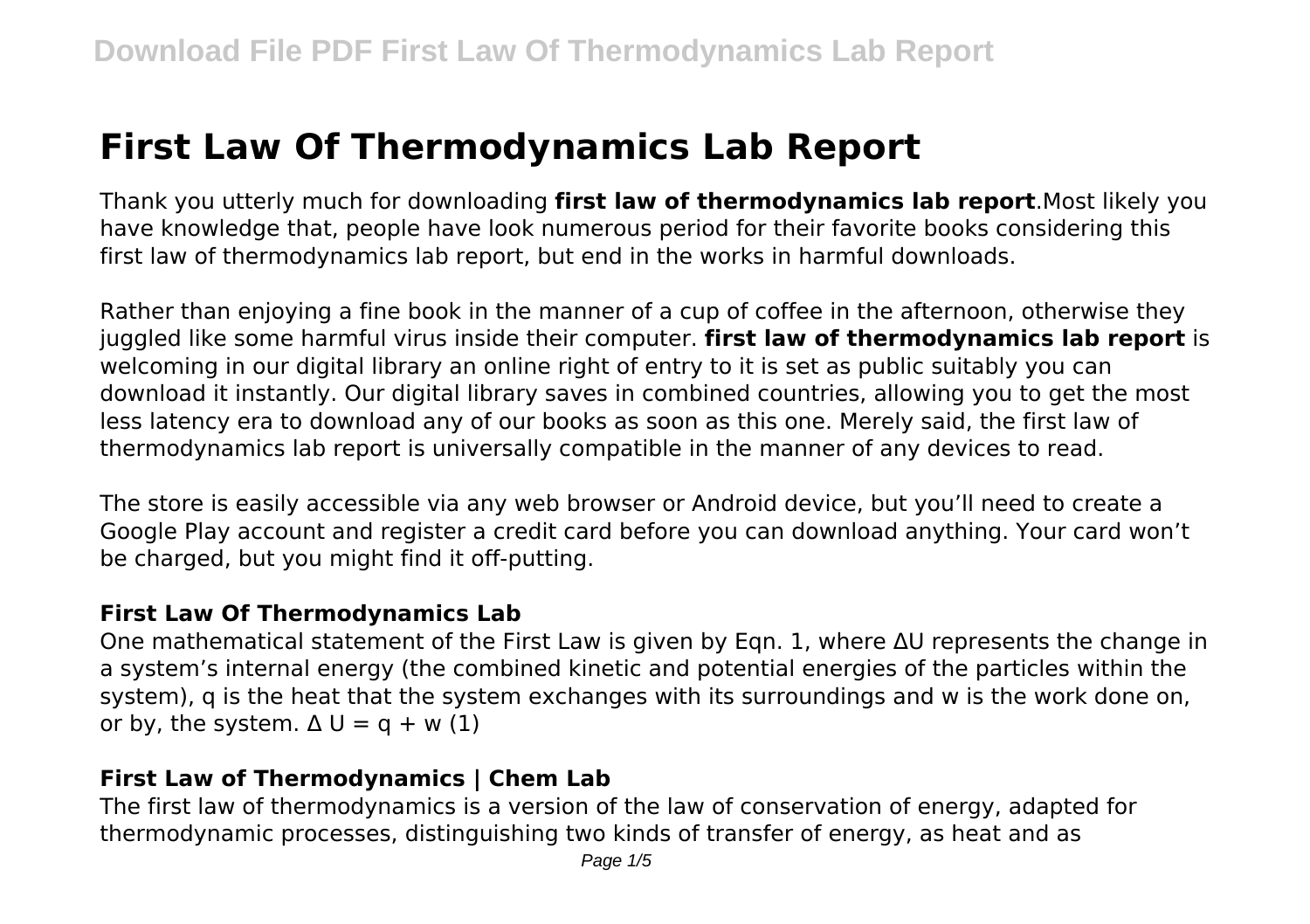# **First Law Of Thermodynamics Lab Report**

Thank you utterly much for downloading **first law of thermodynamics lab report**.Most likely you have knowledge that, people have look numerous period for their favorite books considering this first law of thermodynamics lab report, but end in the works in harmful downloads.

Rather than enjoying a fine book in the manner of a cup of coffee in the afternoon, otherwise they juggled like some harmful virus inside their computer. **first law of thermodynamics lab report** is welcoming in our digital library an online right of entry to it is set as public suitably you can download it instantly. Our digital library saves in combined countries, allowing you to get the most less latency era to download any of our books as soon as this one. Merely said, the first law of thermodynamics lab report is universally compatible in the manner of any devices to read.

The store is easily accessible via any web browser or Android device, but you'll need to create a Google Play account and register a credit card before you can download anything. Your card won't be charged, but you might find it off-putting.

#### **First Law Of Thermodynamics Lab**

One mathematical statement of the First Law is given by Eqn. 1, where ΔU represents the change in a system's internal energy (the combined kinetic and potential energies of the particles within the system), q is the heat that the system exchanges with its surroundings and w is the work done on, or by, the system.  $\Delta U = q + w(1)$ 

# **First Law of Thermodynamics | Chem Lab**

The first law of thermodynamics is a version of the law of conservation of energy, adapted for thermodynamic processes, distinguishing two kinds of transfer of energy, as heat and as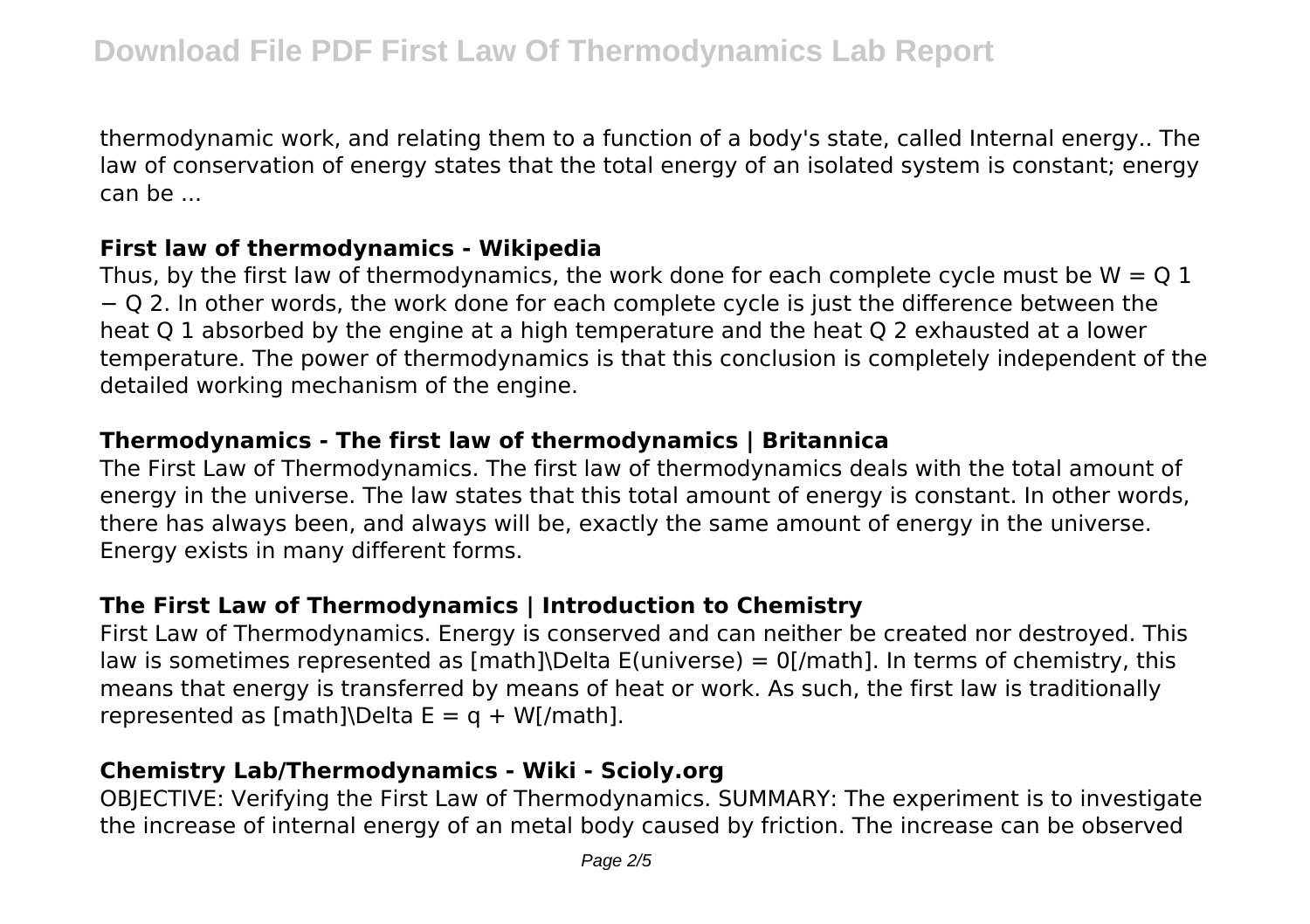thermodynamic work, and relating them to a function of a body's state, called Internal energy.. The law of conservation of energy states that the total energy of an isolated system is constant; energy can be ...

#### **First law of thermodynamics - Wikipedia**

Thus, by the first law of thermodynamics, the work done for each complete cycle must be  $W = Q 1$ − Q 2. In other words, the work done for each complete cycle is just the difference between the heat Q 1 absorbed by the engine at a high temperature and the heat Q 2 exhausted at a lower temperature. The power of thermodynamics is that this conclusion is completely independent of the detailed working mechanism of the engine.

# **Thermodynamics - The first law of thermodynamics | Britannica**

The First Law of Thermodynamics. The first law of thermodynamics deals with the total amount of energy in the universe. The law states that this total amount of energy is constant. In other words, there has always been, and always will be, exactly the same amount of energy in the universe. Energy exists in many different forms.

# **The First Law of Thermodynamics | Introduction to Chemistry**

First Law of Thermodynamics. Energy is conserved and can neither be created nor destroyed. This law is sometimes represented as  $[math]$ Delta E(universe) = 0[/math]. In terms of chemistry, this means that energy is transferred by means of heat or work. As such, the first law is traditionally represented as  $[math]$ Delta E = q + W[/math].

# **Chemistry Lab/Thermodynamics - Wiki - Scioly.org**

OBJECTIVE: Verifying the First Law of Thermodynamics. SUMMARY: The experiment is to investigate the increase of internal energy of an metal body caused by friction. The increase can be observed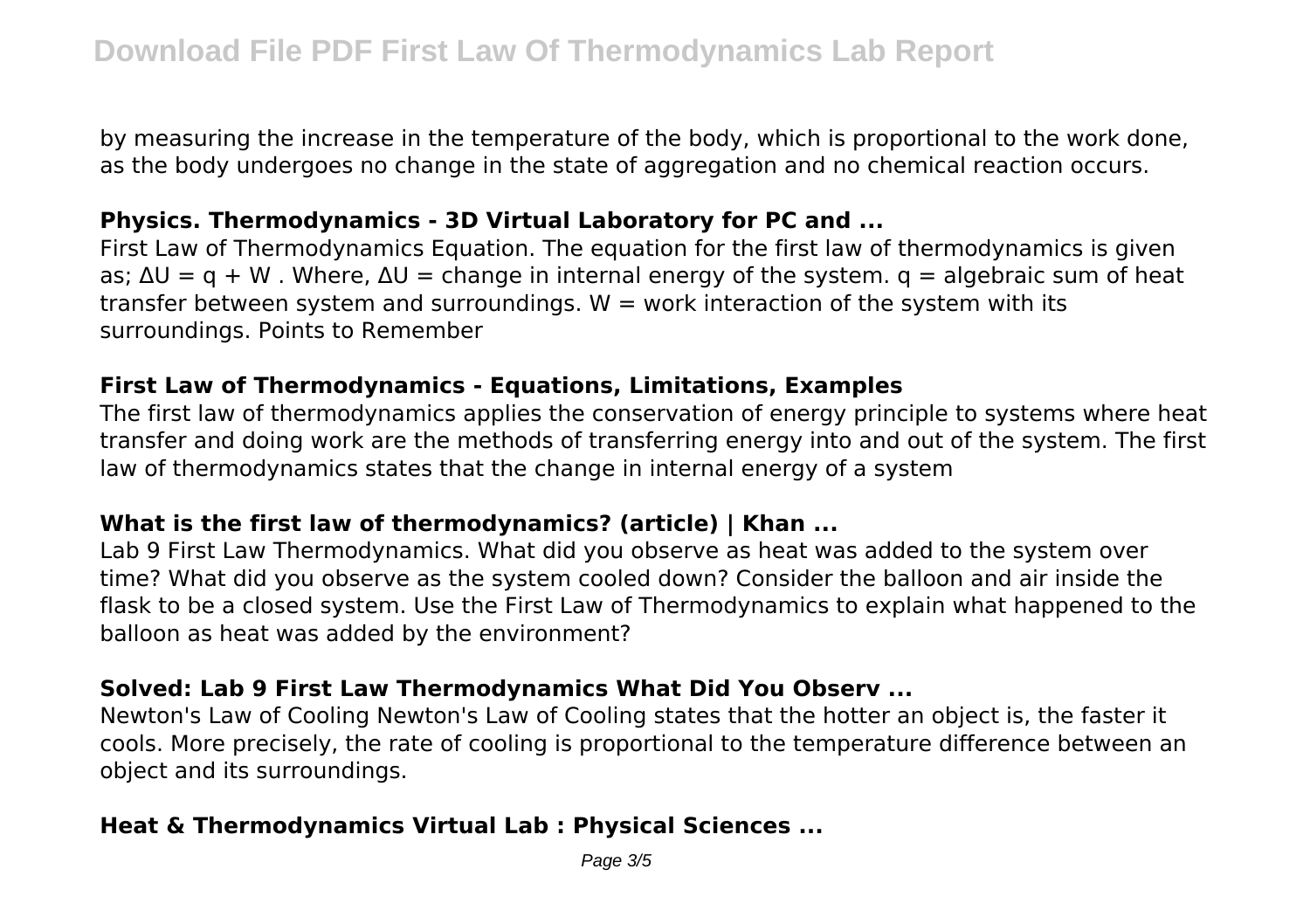by measuring the increase in the temperature of the body, which is proportional to the work done, as the body undergoes no change in the state of aggregation and no chemical reaction occurs.

#### **Physics. Thermodynamics - 3D Virtual Laboratory for PC and ...**

First Law of Thermodynamics Equation. The equation for the first law of thermodynamics is given as;  $\Delta U = q + W$ . Where,  $\Delta U =$  change in internal energy of the system.  $q =$  algebraic sum of heat transfer between system and surroundings.  $W =$  work interaction of the system with its surroundings. Points to Remember

#### **First Law of Thermodynamics - Equations, Limitations, Examples**

The first law of thermodynamics applies the conservation of energy principle to systems where heat transfer and doing work are the methods of transferring energy into and out of the system. The first law of thermodynamics states that the change in internal energy of a system

## **What is the first law of thermodynamics? (article) | Khan ...**

Lab 9 First Law Thermodynamics. What did you observe as heat was added to the system over time? What did you observe as the system cooled down? Consider the balloon and air inside the flask to be a closed system. Use the First Law of Thermodynamics to explain what happened to the balloon as heat was added by the environment?

## **Solved: Lab 9 First Law Thermodynamics What Did You Observ ...**

Newton's Law of Cooling Newton's Law of Cooling states that the hotter an object is, the faster it cools. More precisely, the rate of cooling is proportional to the temperature difference between an object and its surroundings.

## **Heat & Thermodynamics Virtual Lab : Physical Sciences ...**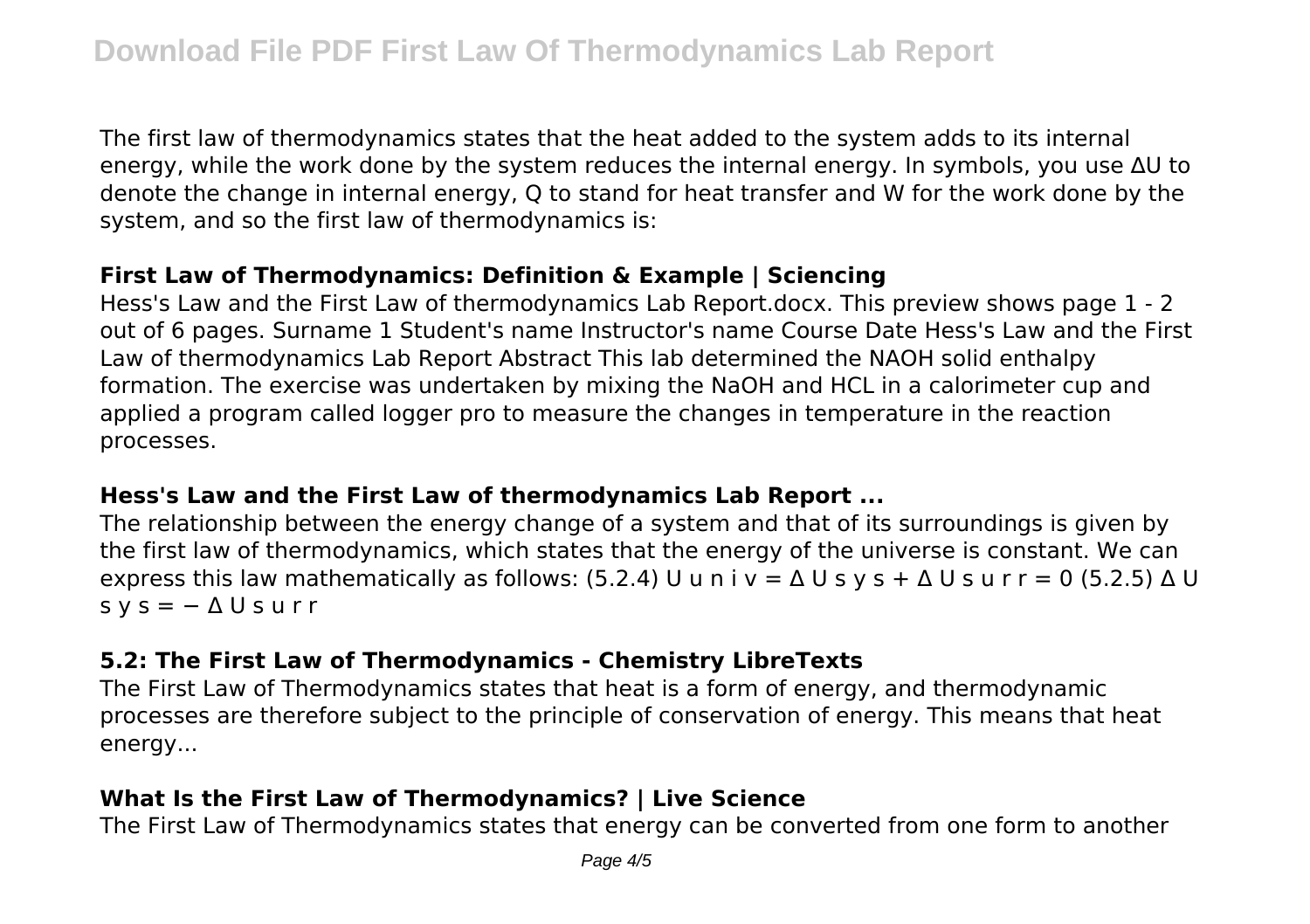The first law of thermodynamics states that the heat added to the system adds to its internal energy, while the work done by the system reduces the internal energy. In symbols, you use ∆U to denote the change in internal energy, Q to stand for heat transfer and W for the work done by the system, and so the first law of thermodynamics is:

## **First Law of Thermodynamics: Definition & Example | Sciencing**

Hess's Law and the First Law of thermodynamics Lab Report.docx. This preview shows page 1 - 2 out of 6 pages. Surname 1 Student's name Instructor's name Course Date Hess's Law and the First Law of thermodynamics Lab Report Abstract This lab determined the NAOH solid enthalpy formation. The exercise was undertaken by mixing the NaOH and HCL in a calorimeter cup and applied a program called logger pro to measure the changes in temperature in the reaction processes.

#### **Hess's Law and the First Law of thermodynamics Lab Report ...**

The relationship between the energy change of a system and that of its surroundings is given by the first law of thermodynamics, which states that the energy of the universe is constant. We can express this law mathematically as follows: (5.2.4) U u n i y =  $\Delta$  U s y s +  $\Delta$  U s u r r = 0 (5.2.5)  $\Delta$  U  $s y s = -\Delta U s u r r$ 

#### **5.2: The First Law of Thermodynamics - Chemistry LibreTexts**

The First Law of Thermodynamics states that heat is a form of energy, and thermodynamic processes are therefore subject to the principle of conservation of energy. This means that heat energy...

# **What Is the First Law of Thermodynamics? | Live Science**

The First Law of Thermodynamics states that energy can be converted from one form to another